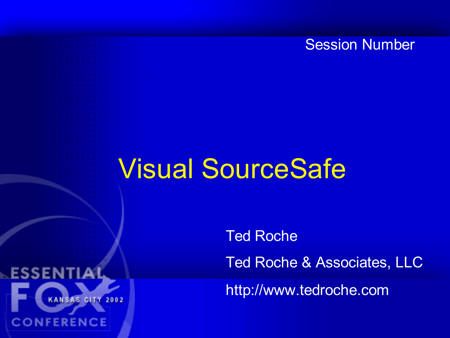#### Session Number

### Visual SourceSafe

ESSEN

**CONFERENCE** 

**KANSAS CITY 2002** 

Ted Roche Ted Roche & Associates, LLC

http://www.tedroche.com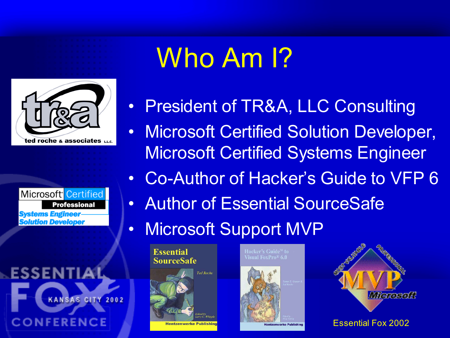

Microsoft<sup>•</sup> Certified **Professional Systems Engineer-Solution Developer** 

ESSEN KANSAS CITY 2002 **CONFERENCE** 

# Who Am I?

- President of TR&A, LLC Consulting
- Microsoft Certified Solution Developer, Microsoft Certified Systems Engineer
- Co-Author of Hacker's Guide to VFP 6
- Author of Essential SourceSafe
- Microsoft Support MVP

**Essential SourceSafe** 



**Visual FoxPro<sup>®</sup> 6.0** 



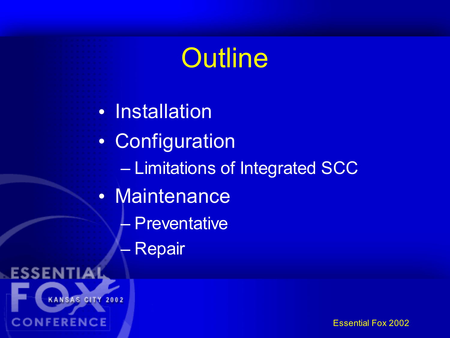## **Outline** • Installation • Configuration – Limitations of Integrated SCC • Maintenance – Preventative **Repair** ESSEN KANSAS CITY 2002 **CONFERENCE**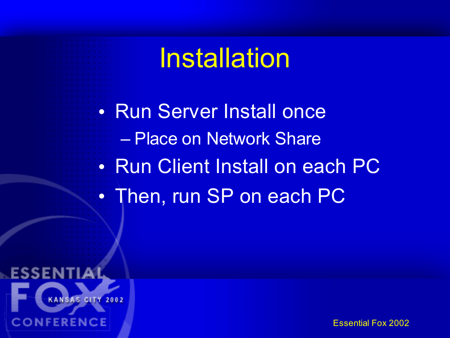## **Installation**

• Run Server Install once – Place on Network Share • Run Client Install on each PC • Then, run SP on each PC

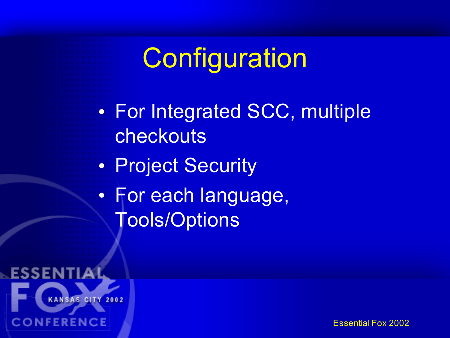# **Configuration**

• For Integrated SCC, multiple checkouts • Project Security

• For each language, Tools/Options

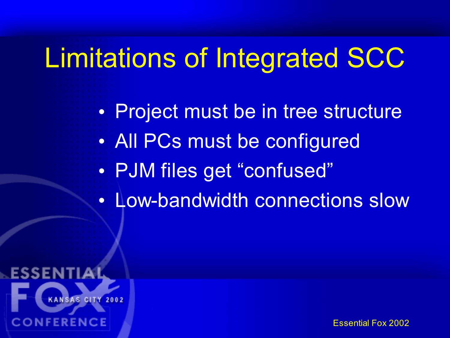# Limitations of Integrated SCC

• Project must be in tree structure • All PCs must be configured • PJM files get "confused" • Low-bandwidth connections slow

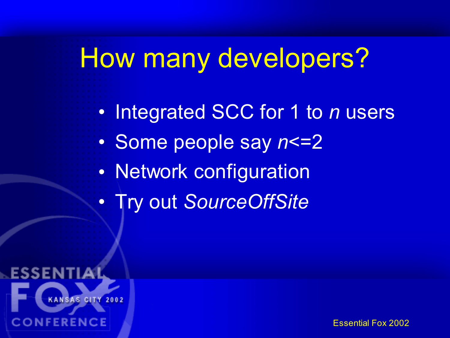# How many developers?

• Integrated SCC for 1 to *n* users • Some people say  $n$  <= 2 • Network configuration • Try out *SourceOffSite*

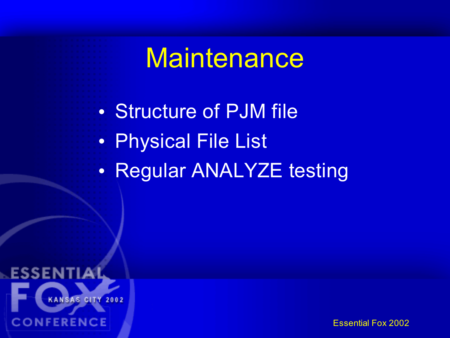### **Maintenance**

• Structure of PJM file • Physical File List • Regular ANALYZE testing

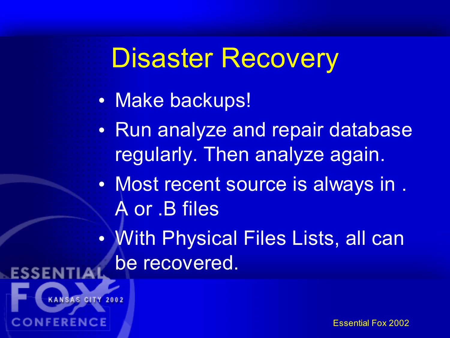# Disaster Recovery

#### • Make backups!

- Run analyze and repair database regularly. Then analyze again.
- Most recent source is always in . A or .B files
- With Physical Files Lists, all can be recovered.



**ONFERENCE**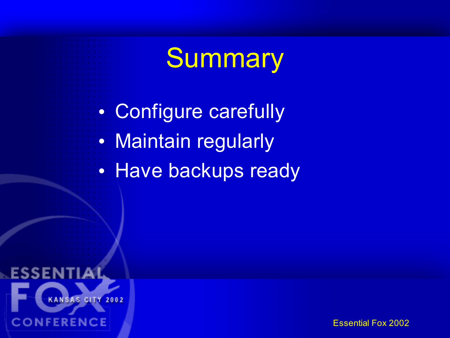## **Summary**

• Configure carefully • Maintain regularly • Have backups ready

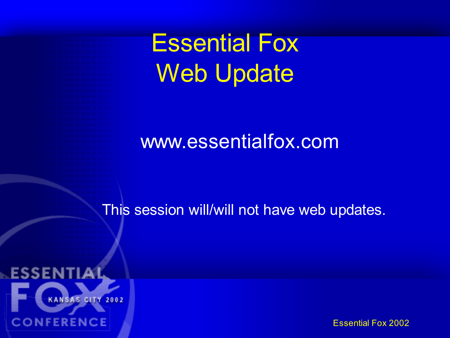Essential Fox Web Update

#### www.essentialfox.com

This session will/will not have web updates.